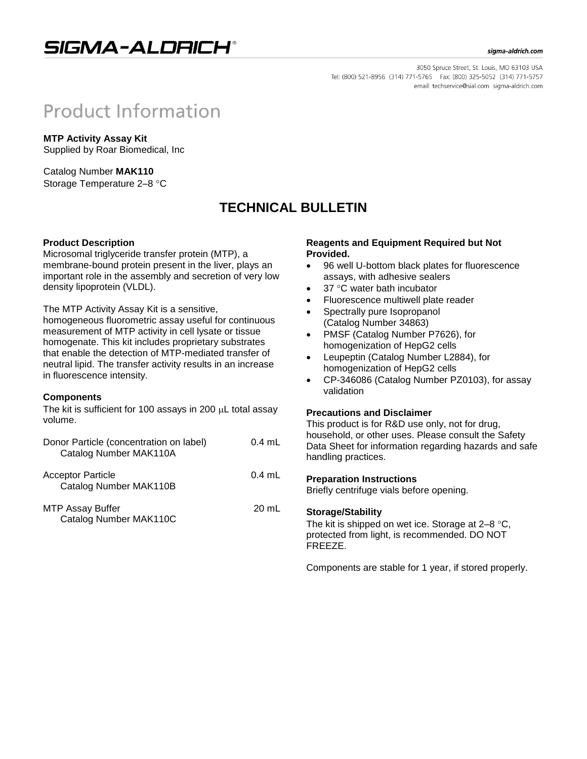## SIGMA-ALDRICH®

#### sigma-aldrich.com

3050 Spruce Street, St. Louis, MO 63103 USA Tel: (800) 521-8956 (314) 771-5765 Fax: (800) 325-5052 (314) 771-5757 email: techservice@sial.com sigma-aldrich.com

# **Product Information**

**MTP Activity Assay Kit** Supplied by Roar Biomedical, Inc

Catalog Number **MAK110** Storage Temperature 2-8 °C

## **TECHNICAL BULLETIN**

### **Product Description**

Microsomal triglyceride transfer protein (MTP), a membrane-bound protein present in the liver, plays an important role in the assembly and secretion of very low density lipoprotein (VLDL).

The MTP Activity Assay Kit is a sensitive,

homogeneous fluorometric assay useful for continuous measurement of MTP activity in cell lysate or tissue homogenate. This kit includes proprietary substrates that enable the detection of MTP-mediated transfer of neutral lipid. The transfer activity results in an increase in fluorescence intensity.

#### **Components**

The kit is sufficient for 100 assays in 200  $\mu$ L total assay volume.

| Donor Particle (concentration on label)<br>Catalog Number MAK110A | $0.4$ mL |
|-------------------------------------------------------------------|----------|
| <b>Acceptor Particle</b><br>Catalog Number MAK110B                | $0.4$ mL |
| <b>MTP Assay Buffer</b><br>Catalog Number MAK110C                 | 20 mL    |

#### **Reagents and Equipment Required but Not Provided.**

- 96 well U-bottom black plates for fluorescence assays, with adhesive sealers
- 37 °C water bath incubator
- Fluorescence multiwell plate reader
- Spectrally pure Isopropanol (Catalog Number 34863)
- PMSF (Catalog Number P7626), for homogenization of HepG2 cells
- Leupeptin (Catalog Number L2884), for homogenization of HepG2 cells
- CP-346086 (Catalog Number PZ0103), for assay validation

#### **Precautions and Disclaimer**

This product is for R&D use only, not for drug, household, or other uses. Please consult the Safety Data Sheet for information regarding hazards and safe handling practices.

#### **Preparation Instructions**

Briefly centrifuge vials before opening.

#### **Storage/Stability**

The kit is shipped on wet ice. Storage at  $2-8$  °C, protected from light, is recommended. DO NOT FREEZE.

Components are stable for 1 year, if stored properly.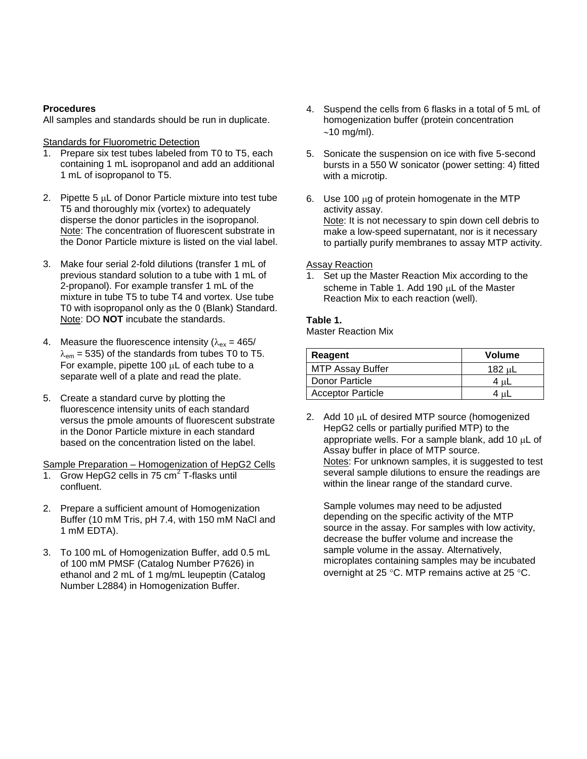### **Procedures**

All samples and standards should be run in duplicate.

#### **Standards for Fluorometric Detection**

- 1. Prepare six test tubes labeled from T0 to T5, each containing 1 mL isopropanol and add an additional 1 mL of isopropanol to T5.
- 2. Pipette  $5 \mu L$  of Donor Particle mixture into test tube T5 and thoroughly mix (vortex) to adequately disperse the donor particles in the isopropanol. Note: The concentration of fluorescent substrate in the Donor Particle mixture is listed on the vial label.
- 3. Make four serial 2-fold dilutions (transfer 1 mL of previous standard solution to a tube with 1 mL of 2-propanol). For example transfer 1 mL of the mixture in tube T5 to tube T4 and vortex. Use tube T0 with isopropanol only as the 0 (Blank) Standard. Note: DO **NOT** incubate the standards.
- 4. Measure the fluorescence intensity ( $\lambda_{ex} = 465/$  $\lambda_{\text{em}}$  = 535) of the standards from tubes T0 to T5. For example, pipette 100  $\mu$ L of each tube to a separate well of a plate and read the plate.
- 5. Create a standard curve by plotting the fluorescence intensity units of each standard versus the pmole amounts of fluorescent substrate in the Donor Particle mixture in each standard based on the concentration listed on the label.

Sample Preparation – Homogenization of HepG2 Cells

- 1. Grow HepG2 cells in  $75 \text{ cm}^2$  T-flasks until confluent.
- 2. Prepare a sufficient amount of Homogenization Buffer (10 mM Tris, pH 7.4, with 150 mM NaCl and 1 mM EDTA).
- 3. To 100 mL of Homogenization Buffer, add 0.5 mL of 100 mM PMSF (Catalog Number P7626) in ethanol and 2 mL of 1 mg/mL leupeptin (Catalog Number L2884) in Homogenization Buffer.
- 4. Suspend the cells from 6 flasks in a total of 5 mL of homogenization buffer (protein concentration  $\sim$ 10 mg/ml).
- 5. Sonicate the suspension on ice with five 5-second bursts in a 550 W sonicator (power setting: 4) fitted with a microtip.
- 6. Use 100  $\mu$ g of protein homogenate in the MTP activity assay. Note: It is not necessary to spin down cell debris to make a low-speed supernatant, nor is it necessary to partially purify membranes to assay MTP activity.

#### Assay Reaction

1. Set up the Master Reaction Mix according to the scheme in Table 1. Add 190  $\mu$ L of the Master Reaction Mix to each reaction (well).

#### **Table 1.**

Master Reaction Mix

| Reagent                  | <b>Volume</b> |
|--------------------------|---------------|
| <b>MTP Assay Buffer</b>  | 182 սL        |
| Donor Particle           | 4 սԼ          |
| <b>Acceptor Particle</b> |               |

2. Add 10  $\mu$ L of desired MTP source (homogenized HepG2 cells or partially purified MTP) to the appropriate wells. For a sample blank, add 10  $\mu$ L of Assay buffer in place of MTP source. Notes: For unknown samples, it is suggested to test several sample dilutions to ensure the readings are within the linear range of the standard curve.

Sample volumes may need to be adjusted depending on the specific activity of the MTP source in the assay. For samples with low activity, decrease the buffer volume and increase the sample volume in the assay. Alternatively, microplates containing samples may be incubated overnight at 25 °C. MTP remains active at 25 °C.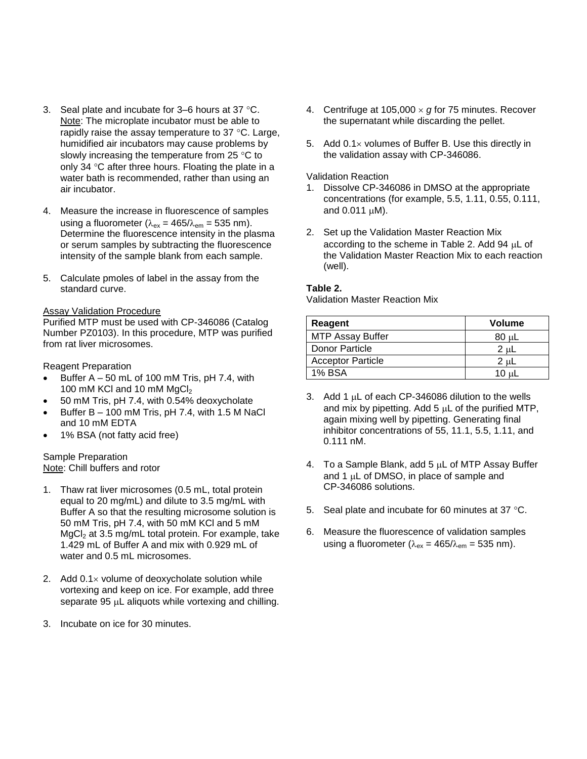- 3. Seal plate and incubate for  $3-6$  hours at  $37$  °C. Note: The microplate incubator must be able to rapidly raise the assay temperature to  $37 \degree C$ . Large, humidified air incubators may cause problems by slowly increasing the temperature from  $25 \text{ }^{\circ} \text{C}$  to only 34  $\degree$ C after three hours. Floating the plate in a water bath is recommended, rather than using an air incubator.
- 4. Measure the increase in fluorescence of samples using a fluorometer ( $\lambda_{\rm ex}$  = 465/ $\lambda_{\rm em}$  = 535 nm). Determine the fluorescence intensity in the plasma or serum samples by subtracting the fluorescence intensity of the sample blank from each sample.
- 5. Calculate pmoles of label in the assay from the standard curve.

### Assay Validation Procedure

Purified MTP must be used with CP-346086 (Catalog Number PZ0103). In this procedure, MTP was purified from rat liver microsomes.

Reagent Preparation

- $\bullet$  Buffer A 50 mL of 100 mM Tris, pH 7.4, with 100 mM KCl and 10 mM  $MgCl<sub>2</sub>$
- 50 mM Tris, pH 7.4, with 0.54% deoxycholate
- Buffer B 100 mM Tris, pH 7.4, with 1.5 M NaCl and 10 mM EDTA
- 1% BSA (not fatty acid free)

### Sample Preparation Note: Chill buffers and rotor

- 1. Thaw rat liver microsomes (0.5 mL, total protein equal to 20 mg/mL) and dilute to 3.5 mg/mL with Buffer A so that the resulting microsome solution is 50 mM Tris, pH 7.4, with 50 mM KCl and 5 mM  $MgCl<sub>2</sub>$  at 3.5 mg/mL total protein. For example, take 1.429 mL of Buffer A and mix with 0.929 mL of water and 0.5 mL microsomes.
- 2. Add  $0.1 \times$  volume of deoxycholate solution while vortexing and keep on ice. For example, add three separate  $95 \mu L$  aliquots while vortexing and chilling.
- 3. Incubate on ice for 30 minutes.
- 4. Centrifuge at  $105,000 \times g$  for 75 minutes. Recover the supernatant while discarding the pellet.
- 5. Add  $0.1 \times$  volumes of Buffer B. Use this directly in the validation assay with CP-346086.

#### Validation Reaction

- 1. Dissolve CP-346086 in DMSO at the appropriate concentrations (for example, 5.5, 1.11, 0.55, 0.111, and  $0.011 \mu M$ ).
- 2. Set up the Validation Master Reaction Mix according to the scheme in Table 2. Add 94  $\mu$ L of the Validation Master Reaction Mix to each reaction (well).

### **Table 2.**

Validation Master Reaction Mix

| Reagent                  | Volume |
|--------------------------|--------|
| MTP Assay Buffer         | 80 սL  |
| Donor Particle           | 2 uL   |
| <b>Acceptor Particle</b> | 2 uL   |
| <b>1% BSA</b>            | 10 սԼ  |

- 3. Add 1  $\mu$ L of each CP-346086 dilution to the wells and mix by pipetting. Add  $5 \mu L$  of the purified MTP, again mixing well by pipetting. Generating final inhibitor concentrations of 55, 11.1, 5.5, 1.11, and 0.111 nM.
- 4. To a Sample Blank, add  $5 \mu L$  of MTP Assay Buffer and 1  $\mu$ L of DMSO, in place of sample and CP-346086 solutions.
- 5. Seal plate and incubate for 60 minutes at 37 °C.
- 6. Measure the fluorescence of validation samples using a fluorometer ( $\lambda_{\rm ex}$  = 465/ $\lambda_{\rm em}$  = 535 nm).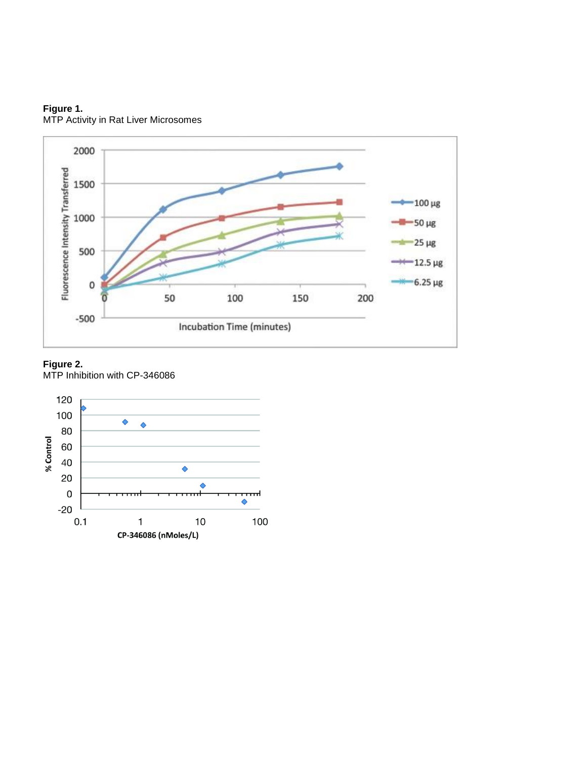



#### **Figure 2.**

MTP Inhibition with CP-346086